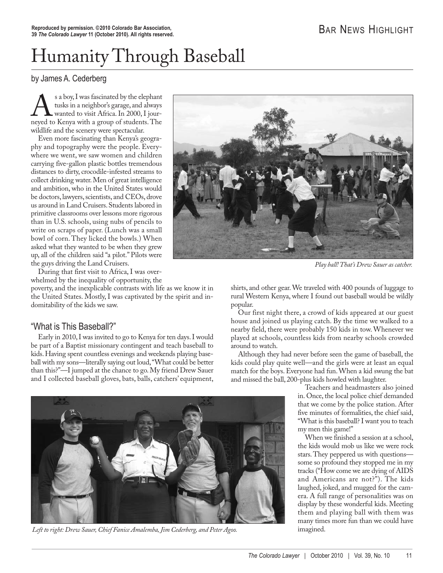# Humanity Through Baseball

by James A. Cederberg

s a boy, I was fascinated by the elephant<br>tusks in a neighbor's garage, and always<br>neyed to Kenya with a group of students. The tusks in a neighbor's garage, and always wanted to visit Africa. In 2000, I jourwildlife and the scenery were spectacular.

Even more fascinating than Kenya's geography and topography were the people. Everywhere we went, we saw women and children carrying five-gallon plastic bottles tremendous distances to dirty, crocodile-infested streams to collect drinking water. Men of great intelligence and ambition, who in the United States would be doctors, lawyers, scientists, and CEOs, drove us around in Land Cruisers. Students labored in primitive classrooms over lessons more rigorous than in U.S. schools, using nubs of pencils to write on scraps of paper. (Lunch was a small bowl of corn. They licked the bowls.) When asked what they wanted to be when they grew up, all of the children said "a pilot." Pilots were the guys driving the Land Cruisers.

During that first visit to Africa, I was overwhelmed by the inequality of opportunity, the

poverty, and the inexplicable contrasts with life as we know it in the United States. Mostly, I was captivated by the spirit and indomitability of the kids we saw.

## "What is This Baseball?"

Early in 2010, I was invited to go to Kenya for ten days. I would be part of a Baptist missionary contingent and teach baseball to kids. Having spent countless evenings and weekends playing baseball with my sons—literally saying out loud, "What could be better than this?"—I jumped at the chance to go. My friend Drew Sauer and I collected baseball gloves, bats, balls, catchers' equipment,



*Left to right: Drew Sauer, Chief Fanice Amalemba, Jim Cederberg, and Peter Agoo.* 



*Play ball! That's Drew Sauer as catcher.*

shirts, and other gear. We traveled with 400 pounds of luggage to rural Western Kenya, where I found out baseball would be wildly popular.

Our first night there, a crowd of kids appeared at our guest house and joined us playing catch. By the time we walked to a nearby field, there were probably 150 kids in tow. Whenever we played at schools, countless kids from nearby schools crowded around to watch.

Although they had never before seen the game of baseball, the kids could play quite well—and the girls were at least an equal match for the boys. Everyone had fun. When a kid swung the bat and missed the ball, 200-plus kids howled with laughter.

> Teachers and headmasters also joined in. Once, the local police chief demanded that we come by the police station. After five minutes of formalities, the chief said, "What is this baseball? I want you to teach my men this game!"

> When we finished a session at a school, the kids would mob us like we were rock stars. They peppered us with questions some so profound they stopped me in my tracks ("How come we are dying of AIDS and Americans are not?"). The kids laughed, joked, and mugged for the camera. A full range of personalities was on display by these wonderful kids. Meeting them and playing ball with them was many times more fun than we could have imagined.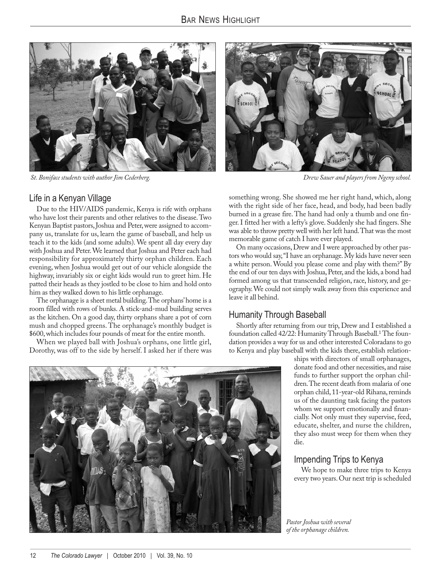

*St. Boniface students with author Jim Cederberg. Drew Sauer and players from Ngeny school.*



## Life in a Kenyan Village

Due to the HIV/AIDS pandemic, Kenya is rife with orphans who have lost their parents and other relatives to the disease. Two Kenyan Baptist pastors, Joshua and Peter, were assigned to accompany us, translate for us, learn the game of baseball, and help us teach it to the kids (and some adults). We spent all day every day with Joshua and Peter. We learned that Joshua and Peter each had responsibility for approximately thirty orphan children. Each evening, when Joshua would get out of our vehicle alongside the highway, invariably six or eight kids would run to greet him. He patted their heads as they jostled to be close to him and hold onto him as they walked down to his little orphanage.

The orphanage is a sheet metal building. The orphans' home is a room filled with rows of bunks. A stick-and-mud building serves as the kitchen. On a good day, thirty orphans share a pot of corn mush and chopped greens. The orphanage's monthly budget is \$600, which includes four pounds of meat for the entire month.

When we played ball with Joshua's orphans, one little girl, Dorothy, was off to the side by herself. I asked her if there was something wrong. She showed me her right hand, which, along with the right side of her face, head, and body, had been badly burned in a grease fire. The hand had only a thumb and one finger. I fitted her with a lefty's glove. Suddenly she had fingers. She was able to throw pretty well with her left hand. That was the most memorable game of catch I have ever played.

On many occasions, Drew and I were approached by other pastors who would say, "I have an orphanage. My kids have never seen a white person. Would you please come and play with them?" By the end of our ten days with Joshua, Peter, and the kids, a bond had formed among us that transcended religion, race, history, and geography. We could not simply walk away from this experience and leave it all behind.

## Humanity Through Baseball

Shortly after returning from our trip, Drew and I established a foundation called 42/22: Humanity Through Baseball.<sup>1</sup> The foundation provides a way for us and other interested Coloradans to go to Kenya and play baseball with the kids there, establish relation-

ships with directors of small orphanages, donate food and other necessities, and raise funds to further support the orphan children. The recent death from malaria of one orphan child, 11-year-old Rihana, reminds us of the daunting task facing the pastors whom we support emotionally and financially. Not only must they supervise, feed, educate, shelter, and nurse the children, they also must weep for them when they die.

## Impending Trips to Kenya

We hope to make three trips to Kenya every two years. Our next trip is scheduled

*Pastor Joshua with several of the orphanage children.*